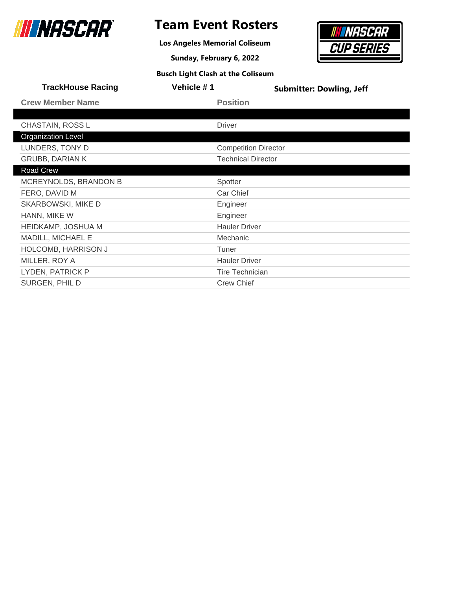

### **Team Event Rosters**

**Los Angeles Memorial Coliseum**

**Sunday, February 6, 2022**



| <b>TrackHouse Racing</b>   | Vehicle #1 | <b>Submitter: Dowling, Jeff</b> |
|----------------------------|------------|---------------------------------|
| <b>Crew Member Name</b>    |            | <b>Position</b>                 |
|                            |            |                                 |
| CHASTAIN, ROSS L           |            | <b>Driver</b>                   |
| <b>Organization Level</b>  |            |                                 |
| LUNDERS, TONY D            |            | <b>Competition Director</b>     |
| <b>GRUBB, DARIAN K</b>     |            | <b>Technical Director</b>       |
| Road Crew                  |            |                                 |
| MCREYNOLDS, BRANDON B      |            | Spotter                         |
| FERO, DAVID M              |            | Car Chief                       |
| SKARBOWSKI, MIKE D         |            | Engineer                        |
| HANN, MIKE W               |            | Engineer                        |
| HEIDKAMP, JOSHUA M         |            | <b>Hauler Driver</b>            |
| MADILL, MICHAEL E          |            | Mechanic                        |
| <b>HOLCOMB, HARRISON J</b> |            | Tuner                           |
| MILLER, ROY A              |            | <b>Hauler Driver</b>            |
| LYDEN, PATRICK P           |            | <b>Tire Technician</b>          |
| SURGEN, PHIL D             |            | <b>Crew Chief</b>               |
|                            |            |                                 |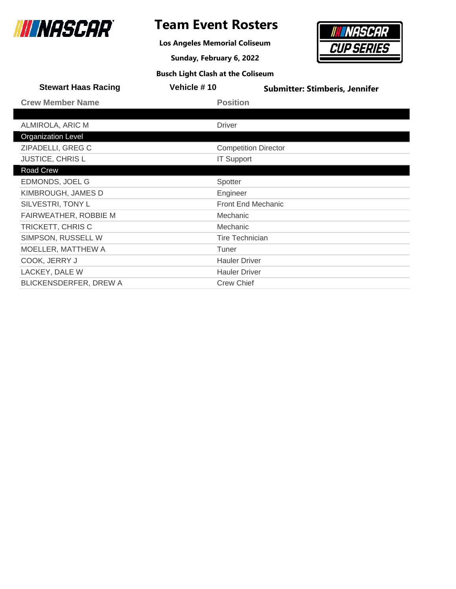

### **Team Event Rosters**

**Los Angeles Memorial Coliseum**

**Sunday, February 6, 2022**



| <b>Stewart Haas Racing</b>    | Vehicle #10            | <b>Submitter: Stimberis, Jennifer</b> |
|-------------------------------|------------------------|---------------------------------------|
| <b>Crew Member Name</b>       | <b>Position</b>        |                                       |
|                               |                        |                                       |
| ALMIROLA, ARIC M              | <b>Driver</b>          |                                       |
| <b>Organization Level</b>     |                        |                                       |
| ZIPADELLI, GREG C             |                        | <b>Competition Director</b>           |
| JUSTICE, CHRIS L              | <b>IT Support</b>      |                                       |
| Road Crew                     |                        |                                       |
| EDMONDS, JOEL G               | Spotter                |                                       |
| KIMBROUGH, JAMES D            | Engineer               |                                       |
| SILVESTRI, TONY L             |                        | <b>Front End Mechanic</b>             |
| FAIRWEATHER, ROBBIE M         | Mechanic               |                                       |
| TRICKETT, CHRIS C             | Mechanic               |                                       |
| SIMPSON, RUSSELL W            | <b>Tire Technician</b> |                                       |
| MOELLER, MATTHEW A            | Tuner                  |                                       |
| COOK, JERRY J                 | <b>Hauler Driver</b>   |                                       |
| LACKEY, DALE W                | <b>Hauler Driver</b>   |                                       |
| <b>BLICKENSDERFER, DREW A</b> | <b>Crew Chief</b>      |                                       |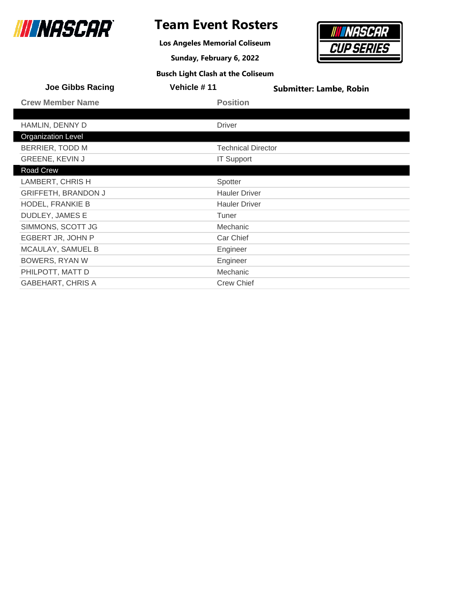

### **Team Event Rosters**

**Los Angeles Memorial Coliseum**

**Sunday, February 6, 2022**



| <b>Joe Gibbs Racing</b>    | Vehicle #11               | <b>Submitter: Lambe, Robin</b> |
|----------------------------|---------------------------|--------------------------------|
| <b>Crew Member Name</b>    | <b>Position</b>           |                                |
|                            |                           |                                |
| HAMLIN, DENNY D            | <b>Driver</b>             |                                |
| <b>Organization Level</b>  |                           |                                |
| BERRIER, TODD M            | <b>Technical Director</b> |                                |
| <b>GREENE, KEVIN J</b>     | <b>IT Support</b>         |                                |
| Road Crew                  |                           |                                |
| LAMBERT, CHRIS H           | Spotter                   |                                |
| <b>GRIFFETH, BRANDON J</b> | <b>Hauler Driver</b>      |                                |
| HODEL, FRANKIE B           | <b>Hauler Driver</b>      |                                |
| <b>DUDLEY, JAMES E</b>     | Tuner                     |                                |
| SIMMONS, SCOTT JG          | Mechanic                  |                                |
| EGBERT JR, JOHN P          | Car Chief                 |                                |
| MCAULAY, SAMUEL B          | Engineer                  |                                |
| <b>BOWERS, RYAN W</b>      | Engineer                  |                                |
| PHILPOTT, MATT D           | Mechanic                  |                                |
| <b>GABEHART, CHRIS A</b>   | <b>Crew Chief</b>         |                                |
|                            |                           |                                |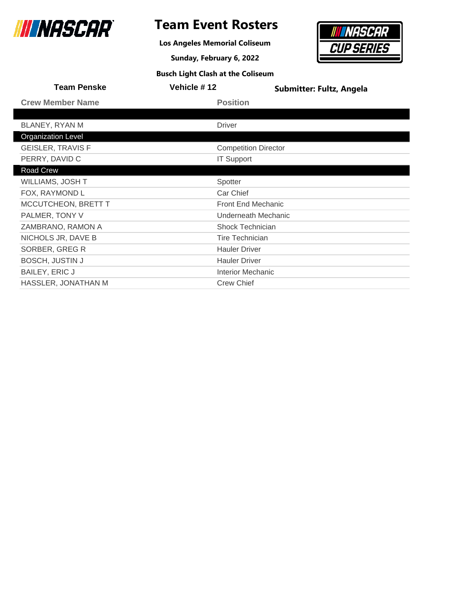

### **Team Event Rosters**

**Los Angeles Memorial Coliseum**

**Sunday, February 6, 2022**



| <b>Team Penske</b>        | Vehicle #12                 | <b>Submitter: Fultz, Angela</b> |
|---------------------------|-----------------------------|---------------------------------|
| <b>Crew Member Name</b>   | <b>Position</b>             |                                 |
|                           |                             |                                 |
| BLANEY, RYAN M            | <b>Driver</b>               |                                 |
| <b>Organization Level</b> |                             |                                 |
| <b>GEISLER, TRAVIS F</b>  | <b>Competition Director</b> |                                 |
| PERRY, DAVID C            | <b>IT Support</b>           |                                 |
| Road Crew                 |                             |                                 |
| WILLIAMS, JOSH T          | Spotter                     |                                 |
| FOX, RAYMOND L            | Car Chief                   |                                 |
| MCCUTCHEON, BRETT T       | <b>Front End Mechanic</b>   |                                 |
| PALMER, TONY V            |                             | Underneath Mechanic             |
| ZAMBRANO, RAMON A         | Shock Technician            |                                 |
| NICHOLS JR, DAVE B        | <b>Tire Technician</b>      |                                 |
| SORBER, GREG R            | <b>Hauler Driver</b>        |                                 |
| <b>BOSCH, JUSTIN J</b>    | <b>Hauler Driver</b>        |                                 |
| <b>BAILEY, ERIC J</b>     | <b>Interior Mechanic</b>    |                                 |
| HASSLER, JONATHAN M       | <b>Crew Chief</b>           |                                 |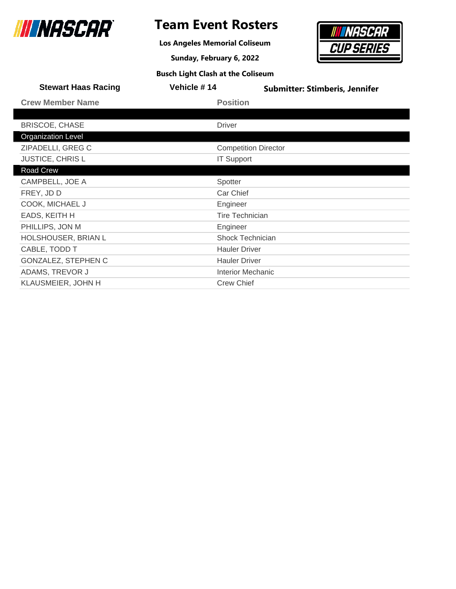

**Los Angeles Memorial Coliseum**

**Sunday, February 6, 2022**



| <b>Stewart Haas Racing</b> | Vehicle #14              | <b>Submitter: Stimberis, Jennifer</b> |
|----------------------------|--------------------------|---------------------------------------|
| <b>Crew Member Name</b>    | <b>Position</b>          |                                       |
|                            |                          |                                       |
| <b>BRISCOE, CHASE</b>      | <b>Driver</b>            |                                       |
| <b>Organization Level</b>  |                          |                                       |
| ZIPADELLI, GREG C          |                          | <b>Competition Director</b>           |
| <b>JUSTICE, CHRISL</b>     | <b>IT Support</b>        |                                       |
| Road Crew                  |                          |                                       |
| CAMPBELL, JOE A            | Spotter                  |                                       |
| FREY, JD D                 | Car Chief                |                                       |
| COOK, MICHAEL J            | Engineer                 |                                       |
| EADS, KEITH H              | <b>Tire Technician</b>   |                                       |
| PHILLIPS, JON M            | Engineer                 |                                       |
| HOLSHOUSER, BRIAN L        | Shock Technician         |                                       |
| CABLE, TODD T              | <b>Hauler Driver</b>     |                                       |
| GONZALEZ, STEPHEN C        | <b>Hauler Driver</b>     |                                       |
| ADAMS, TREVOR J            | <b>Interior Mechanic</b> |                                       |
| KLAUSMEIER, JOHN H         | <b>Crew Chief</b>        |                                       |
|                            |                          |                                       |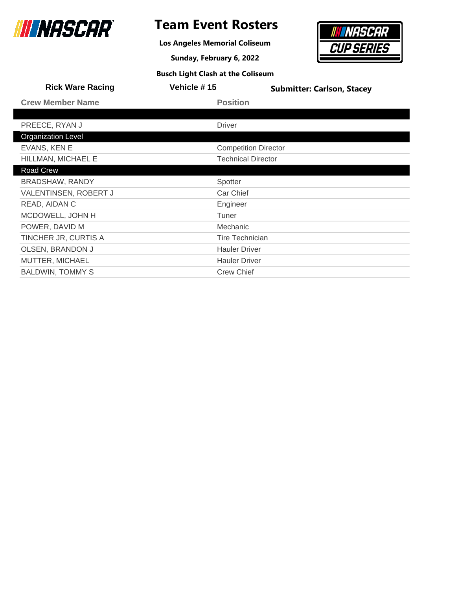

**Los Angeles Memorial Coliseum**

**Sunday, February 6, 2022**



| <b>Rick Ware Racing</b>   | Vehicle #15               | <b>Submitter: Carlson, Stacey</b> |
|---------------------------|---------------------------|-----------------------------------|
| <b>Crew Member Name</b>   | <b>Position</b>           |                                   |
|                           |                           |                                   |
| PREECE, RYAN J            | <b>Driver</b>             |                                   |
| <b>Organization Level</b> |                           |                                   |
| EVANS, KEN E              |                           | <b>Competition Director</b>       |
| HILLMAN, MICHAEL E        | <b>Technical Director</b> |                                   |
| Road Crew                 |                           |                                   |
| BRADSHAW, RANDY           | Spotter                   |                                   |
| VALENTINSEN, ROBERT J     | Car Chief                 |                                   |
| READ, AIDAN C             | Engineer                  |                                   |
| MCDOWELL, JOHN H          | Tuner                     |                                   |
| POWER, DAVID M            | Mechanic                  |                                   |
| TINCHER JR, CURTIS A      | <b>Tire Technician</b>    |                                   |
| <b>OLSEN, BRANDON J</b>   | <b>Hauler Driver</b>      |                                   |
| MUTTER, MICHAEL           | <b>Hauler Driver</b>      |                                   |
| <b>BALDWIN, TOMMY S</b>   | <b>Crew Chief</b>         |                                   |
|                           |                           |                                   |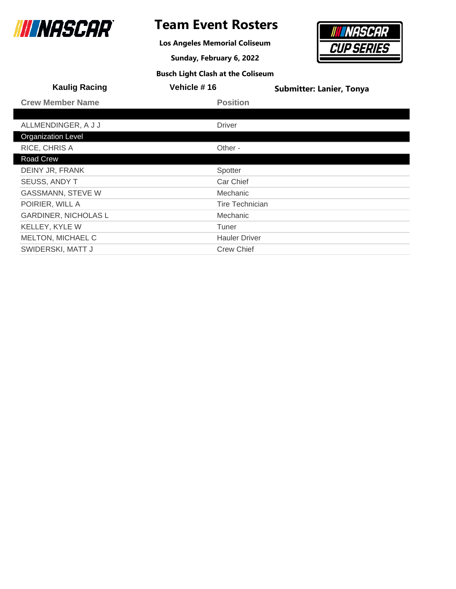

### **Team Event Rosters**

**Los Angeles Memorial Coliseum**

**Sunday, February 6, 2022**



| <b>Kaulig Racing</b>        | Vehicle #16            | <b>Submitter: Lanier, Tonya</b> |
|-----------------------------|------------------------|---------------------------------|
| <b>Crew Member Name</b>     | <b>Position</b>        |                                 |
|                             |                        |                                 |
| ALLMENDINGER, A J J         | <b>Driver</b>          |                                 |
| <b>Organization Level</b>   |                        |                                 |
| RICE, CHRIS A               | Other -                |                                 |
| Road Crew                   |                        |                                 |
| DEINY JR, FRANK             | Spotter                |                                 |
| <b>SEUSS, ANDY T</b>        | Car Chief              |                                 |
| <b>GASSMANN, STEVE W</b>    | <b>Mechanic</b>        |                                 |
| POIRIER, WILL A             | <b>Tire Technician</b> |                                 |
| <b>GARDINER, NICHOLAS L</b> | <b>Mechanic</b>        |                                 |
| KELLEY, KYLE W              | Tuner                  |                                 |
| <b>MELTON, MICHAEL C</b>    | <b>Hauler Driver</b>   |                                 |
| SWIDERSKI, MATT J           | <b>Crew Chief</b>      |                                 |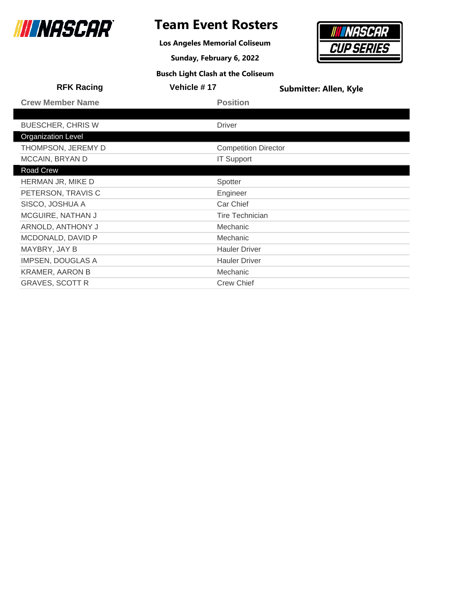

**Los Angeles Memorial Coliseum**

**Sunday, February 6, 2022**



|                             | <b>Submitter: Allen, Kyle</b> |
|-----------------------------|-------------------------------|
| <b>Position</b>             |                               |
|                             |                               |
| <b>Driver</b>               |                               |
|                             |                               |
| <b>Competition Director</b> |                               |
| <b>IT Support</b>           |                               |
|                             |                               |
| Spotter                     |                               |
| Engineer                    |                               |
| Car Chief                   |                               |
| <b>Tire Technician</b>      |                               |
| Mechanic                    |                               |
| Mechanic                    |                               |
| <b>Hauler Driver</b>        |                               |
| <b>Hauler Driver</b>        |                               |
| Mechanic                    |                               |
| <b>Crew Chief</b>           |                               |
|                             | <b>Vehicle #17</b>            |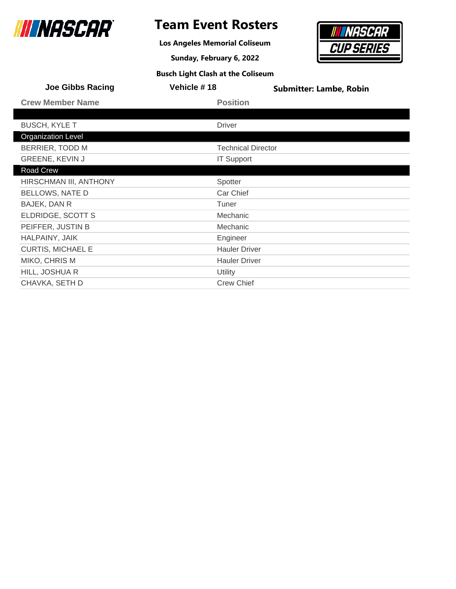

### **Team Event Rosters**

**Los Angeles Memorial Coliseum**

**Sunday, February 6, 2022**



| <b>Joe Gibbs Racing</b>   | Vehicle #18               | <b>Submitter: Lambe, Robin</b> |
|---------------------------|---------------------------|--------------------------------|
| <b>Crew Member Name</b>   | <b>Position</b>           |                                |
|                           |                           |                                |
| <b>BUSCH, KYLE T</b>      | <b>Driver</b>             |                                |
| <b>Organization Level</b> |                           |                                |
| BERRIER, TODD M           | <b>Technical Director</b> |                                |
| GREENE, KEVIN J           | <b>IT Support</b>         |                                |
| Road Crew                 |                           |                                |
| HIRSCHMAN III, ANTHONY    | Spotter                   |                                |
| <b>BELLOWS, NATE D</b>    | Car Chief                 |                                |
| BAJEK, DAN R              | Tuner                     |                                |
| ELDRIDGE, SCOTT S         | Mechanic                  |                                |
| PEIFFER, JUSTIN B         | Mechanic                  |                                |
| HALPAINY, JAIK            | Engineer                  |                                |
| <b>CURTIS, MICHAEL E</b>  | <b>Hauler Driver</b>      |                                |
| MIKO, CHRIS M             | <b>Hauler Driver</b>      |                                |
| HILL, JOSHUA R            | Utility                   |                                |
| CHAVKA, SETH D            | <b>Crew Chief</b>         |                                |
|                           |                           |                                |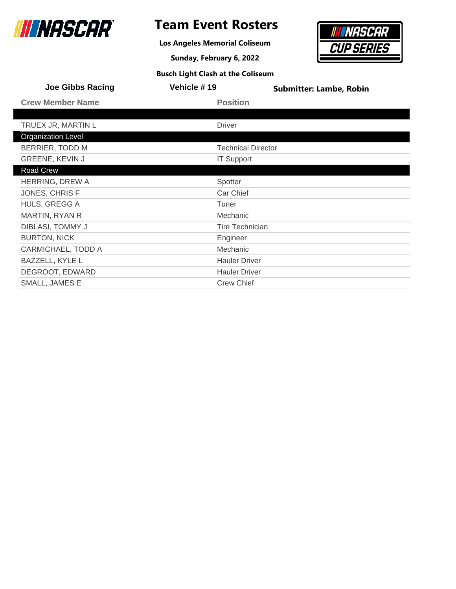

### **Team Event Rosters**

**Los Angeles Memorial Coliseum**

**Sunday, February 6, 2022**



| <b>Joe Gibbs Racing</b>   | Vehicle #19               | <b>Submitter: Lambe, Robin</b> |
|---------------------------|---------------------------|--------------------------------|
| <b>Crew Member Name</b>   | <b>Position</b>           |                                |
|                           |                           |                                |
| TRUEX JR, MARTIN L        | <b>Driver</b>             |                                |
| <b>Organization Level</b> |                           |                                |
| <b>BERRIER, TODD M</b>    | <b>Technical Director</b> |                                |
| GREENE, KEVIN J           | <b>IT Support</b>         |                                |
| Road Crew                 |                           |                                |
| HERRING, DREW A           | Spotter                   |                                |
| JONES, CHRIS F            | Car Chief                 |                                |
| HULS, GREGG A             | Tuner                     |                                |
| MARTIN, RYAN R            | Mechanic                  |                                |
| DIBLASI, TOMMY J          | <b>Tire Technician</b>    |                                |
| <b>BURTON, NICK</b>       | Engineer                  |                                |
| <b>CARMICHAEL, TODD A</b> | Mechanic                  |                                |
| <b>BAZZELL, KYLE L</b>    | <b>Hauler Driver</b>      |                                |
| DEGROOT, EDWARD           | <b>Hauler Driver</b>      |                                |
| SMALL, JAMES E            | <b>Crew Chief</b>         |                                |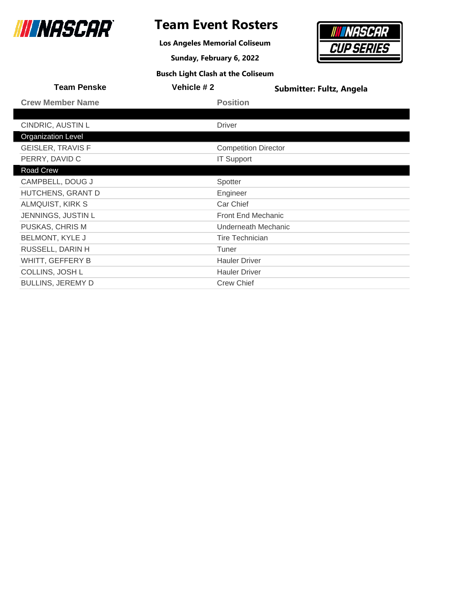

### **Team Event Rosters**

**Los Angeles Memorial Coliseum**

**Sunday, February 6, 2022**



| <b>Team Penske</b>        | Vehicle #2    | Submitter: Fultz, Angela    |
|---------------------------|---------------|-----------------------------|
| <b>Crew Member Name</b>   |               | <b>Position</b>             |
|                           |               |                             |
| CINDRIC, AUSTIN L         | <b>Driver</b> |                             |
| <b>Organization Level</b> |               |                             |
| <b>GEISLER, TRAVIS F</b>  |               | <b>Competition Director</b> |
| PERRY, DAVID C            |               | <b>IT Support</b>           |
| Road Crew                 |               |                             |
| CAMPBELL, DOUG J          | Spotter       |                             |
| HUTCHENS, GRANT D         |               | Engineer                    |
| ALMQUIST, KIRK S          |               | Car Chief                   |
| JENNINGS, JUSTIN L        |               | <b>Front End Mechanic</b>   |
| PUSKAS, CHRIS M           |               | Underneath Mechanic         |
| <b>BELMONT, KYLE J</b>    |               | <b>Tire Technician</b>      |
| RUSSELL, DARIN H          | Tuner         |                             |
| WHITT, GEFFERY B          |               | <b>Hauler Driver</b>        |
| COLLINS, JOSH L           |               | <b>Hauler Driver</b>        |
| <b>BULLINS, JEREMY D</b>  |               | <b>Crew Chief</b>           |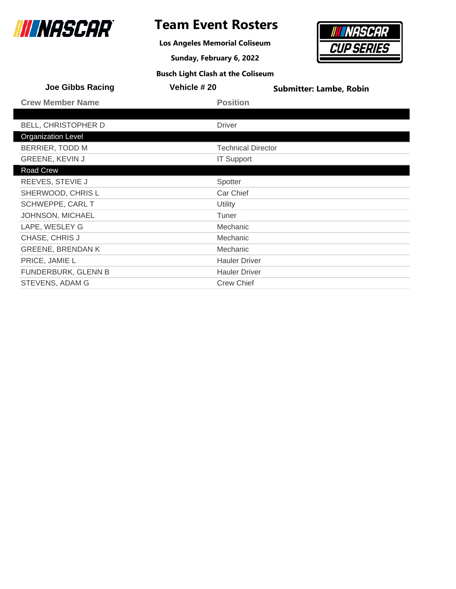

### **Team Event Rosters**

**Los Angeles Memorial Coliseum**

**Sunday, February 6, 2022**



| <b>Joe Gibbs Racing</b>   | Vehicle # 20              | <b>Submitter: Lambe, Robin</b> |
|---------------------------|---------------------------|--------------------------------|
| <b>Crew Member Name</b>   | <b>Position</b>           |                                |
|                           |                           |                                |
| BELL, CHRISTOPHER D       | <b>Driver</b>             |                                |
| <b>Organization Level</b> |                           |                                |
| BERRIER, TODD M           | <b>Technical Director</b> |                                |
| <b>GREENE, KEVIN J</b>    | <b>IT Support</b>         |                                |
| Road Crew                 |                           |                                |
| REEVES, STEVIE J          | Spotter                   |                                |
| SHERWOOD, CHRIS L         | Car Chief                 |                                |
| SCHWEPPE, CARL T          | Utility                   |                                |
| JOHNSON, MICHAEL          | Tuner                     |                                |
| LAPE, WESLEY G            | Mechanic                  |                                |
| CHASE, CHRIS J            | Mechanic                  |                                |
| <b>GREENE, BRENDAN K</b>  | Mechanic                  |                                |
| PRICE, JAMIE L            | <b>Hauler Driver</b>      |                                |
| FUNDERBURK, GLENN B       | <b>Hauler Driver</b>      |                                |
| <b>STEVENS, ADAM G</b>    | <b>Crew Chief</b>         |                                |
|                           |                           |                                |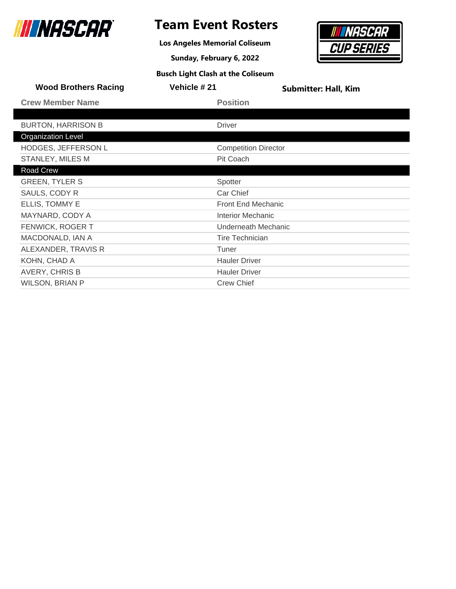

**Los Angeles Memorial Coliseum**

**Sunday, February 6, 2022 Busch Light Clash at the Coliseum**

## NASCAR **CUP SERIES**

| <b>Wood Brothers Racing</b> | <b>Vehicle # 21</b> | <b>Submitter: Hall, Kim</b> |
|-----------------------------|---------------------|-----------------------------|
| <b>Crew Member Name</b>     |                     | <b>Position</b>             |
|                             |                     |                             |
| <b>BURTON, HARRISON B</b>   |                     | <b>Driver</b>               |
| <b>Organization Level</b>   |                     |                             |
| <b>HODGES, JEFFERSON L</b>  |                     | <b>Competition Director</b> |
| STANLEY, MILES M            |                     | Pit Coach                   |
| Road Crew                   |                     |                             |
| <b>GREEN, TYLER S</b>       |                     | Spotter                     |
| SAULS, CODY R               |                     | Car Chief                   |
| ELLIS, TOMMY E              |                     | <b>Front End Mechanic</b>   |
| MAYNARD, CODY A             |                     | Interior Mechanic           |
| FENWICK, ROGER T            |                     | Underneath Mechanic         |
| MACDONALD, IAN A            |                     | <b>Tire Technician</b>      |
| ALEXANDER, TRAVIS R         |                     | Tuner                       |
| KOHN, CHAD A                |                     | <b>Hauler Driver</b>        |
| AVERY, CHRIS B              |                     | <b>Hauler Driver</b>        |
| <b>WILSON, BRIAN P</b>      |                     | <b>Crew Chief</b>           |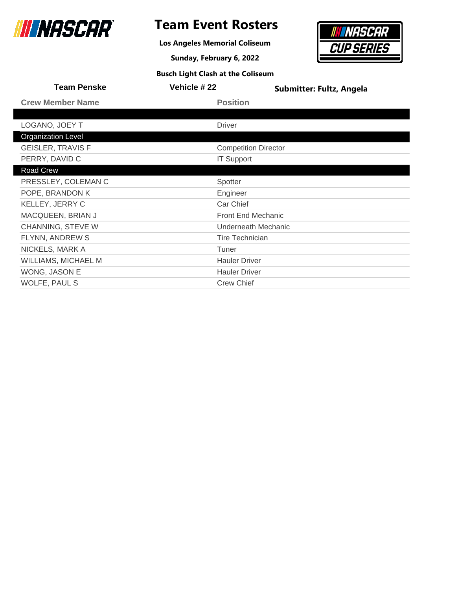

### **Team Event Rosters**

**Los Angeles Memorial Coliseum**

**Sunday, February 6, 2022**



| <b>Team Penske</b>         | Vehicle #22       | <b>Submitter: Fultz, Angela</b> |
|----------------------------|-------------------|---------------------------------|
| <b>Crew Member Name</b>    | <b>Position</b>   |                                 |
|                            |                   |                                 |
| LOGANO, JOEY T             | <b>Driver</b>     |                                 |
| <b>Organization Level</b>  |                   |                                 |
| <b>GEISLER, TRAVIS F</b>   |                   | <b>Competition Director</b>     |
| PERRY, DAVID C             | <b>IT Support</b> |                                 |
| Road Crew                  |                   |                                 |
| PRESSLEY, COLEMAN C        | Spotter           |                                 |
| POPE, BRANDON K            | Engineer          |                                 |
| KELLEY, JERRY C            | Car Chief         |                                 |
| MACQUEEN, BRIAN J          |                   | <b>Front End Mechanic</b>       |
| CHANNING, STEVE W          |                   | Underneath Mechanic             |
| FLYNN, ANDREW S            |                   | <b>Tire Technician</b>          |
| NICKELS, MARK A            | Tuner             |                                 |
| <b>WILLIAMS, MICHAEL M</b> |                   | <b>Hauler Driver</b>            |
| WONG, JASON E              |                   | <b>Hauler Driver</b>            |
| WOLFE, PAUL S              | <b>Crew Chief</b> |                                 |
|                            |                   |                                 |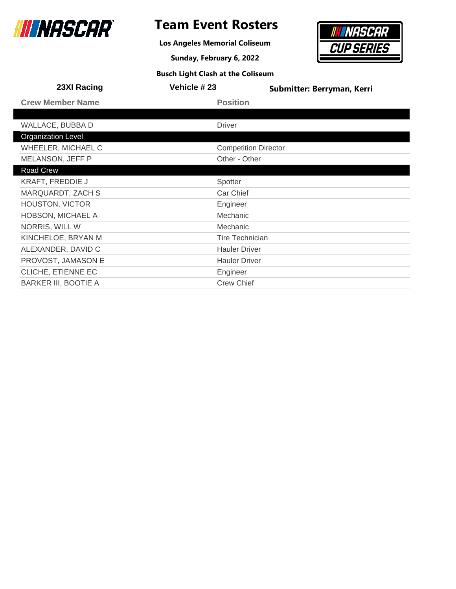

### **Team Event Rosters**

**Los Angeles Memorial Coliseum**

**Sunday, February 6, 2022**



| 23XI Racing                 | Vehicle #23 | Submitter: Berryman, Kerri  |
|-----------------------------|-------------|-----------------------------|
| <b>Crew Member Name</b>     |             | <b>Position</b>             |
|                             |             |                             |
| WALLACE, BUBBA D            |             | <b>Driver</b>               |
| <b>Organization Level</b>   |             |                             |
| WHEELER, MICHAEL C          |             | <b>Competition Director</b> |
| MELANSON, JEFF P            |             | Other - Other               |
| Road Crew                   |             |                             |
| <b>KRAFT, FREDDIE J</b>     |             | Spotter                     |
| MARQUARDT, ZACH S           |             | Car Chief                   |
| HOUSTON, VICTOR             |             | Engineer                    |
| <b>HOBSON, MICHAEL A</b>    |             | Mechanic                    |
| NORRIS, WILL W              |             | Mechanic                    |
| KINCHELOE, BRYAN M          |             | <b>Tire Technician</b>      |
| ALEXANDER, DAVID C          |             | <b>Hauler Driver</b>        |
| PROVOST, JAMASON E          |             | <b>Hauler Driver</b>        |
| CLICHE, ETIENNE EC          |             | Engineer                    |
| <b>BARKER III, BOOTIE A</b> |             | <b>Crew Chief</b>           |
|                             |             |                             |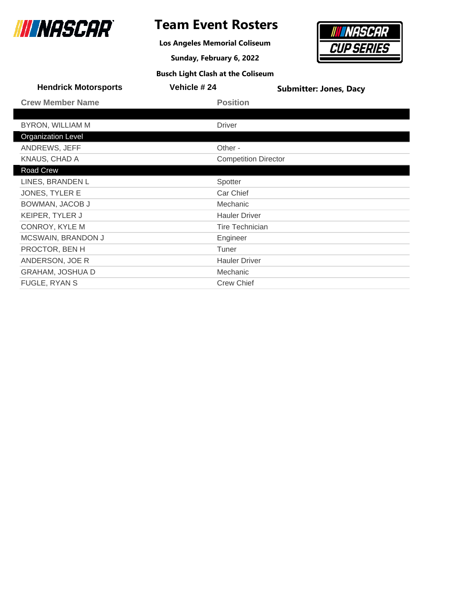

### **Team Event Rosters**

**Los Angeles Memorial Coliseum**

**Sunday, February 6, 2022**



| <b>Busch Light Clash at the Coliseum</b> |  |  |
|------------------------------------------|--|--|
|------------------------------------------|--|--|

| Vehicle #24          | <b>Submitter: Jones, Dacy</b>                         |
|----------------------|-------------------------------------------------------|
| <b>Position</b>      |                                                       |
|                      |                                                       |
| <b>Driver</b>        |                                                       |
|                      |                                                       |
| Other -              |                                                       |
|                      |                                                       |
|                      |                                                       |
| Spotter              |                                                       |
| Car Chief            |                                                       |
| Mechanic             |                                                       |
| <b>Hauler Driver</b> |                                                       |
|                      |                                                       |
| Engineer             |                                                       |
| Tuner                |                                                       |
| <b>Hauler Driver</b> |                                                       |
| Mechanic             |                                                       |
| <b>Crew Chief</b>    |                                                       |
|                      | <b>Competition Director</b><br><b>Tire Technician</b> |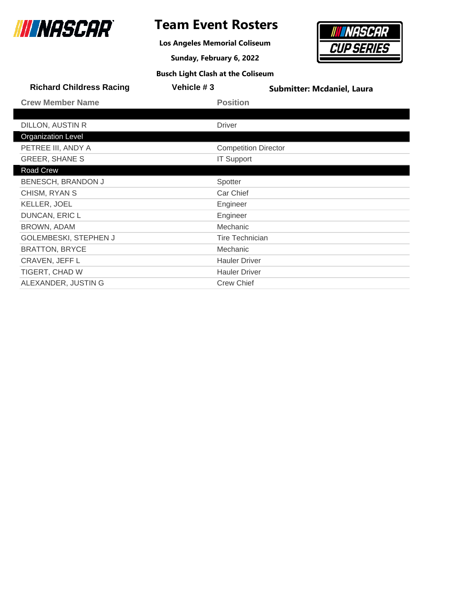

**Los Angeles Memorial Coliseum**

**Sunday, February 6, 2022**

## **NASCAR CUP SERIES**

| <b>Busch Light Clash at the Coliseum</b> |  |
|------------------------------------------|--|
|------------------------------------------|--|

| <b>Richard Childress Racing</b> | Vehicle #3                  | <b>Submitter: Mcdaniel, Laura</b> |
|---------------------------------|-----------------------------|-----------------------------------|
| <b>Crew Member Name</b>         | <b>Position</b>             |                                   |
|                                 |                             |                                   |
| DILLON, AUSTIN R                | <b>Driver</b>               |                                   |
| <b>Organization Level</b>       |                             |                                   |
| PETREE III, ANDY A              | <b>Competition Director</b> |                                   |
| <b>GREER, SHANE S</b>           | <b>IT Support</b>           |                                   |
| Road Crew                       |                             |                                   |
| BENESCH, BRANDON J              | Spotter                     |                                   |
| CHISM, RYAN S                   | Car Chief                   |                                   |
| <b>KELLER, JOEL</b>             | Engineer                    |                                   |
| DUNCAN, ERIC L                  | Engineer                    |                                   |
| BROWN, ADAM                     | Mechanic                    |                                   |
| GOLEMBESKI, STEPHEN J           | <b>Tire Technician</b>      |                                   |
| <b>BRATTON, BRYCE</b>           | <b>Mechanic</b>             |                                   |
| CRAVEN, JEFF L                  | <b>Hauler Driver</b>        |                                   |
| TIGERT, CHAD W                  | <b>Hauler Driver</b>        |                                   |
| ALEXANDER, JUSTIN G             | <b>Crew Chief</b>           |                                   |
|                                 |                             |                                   |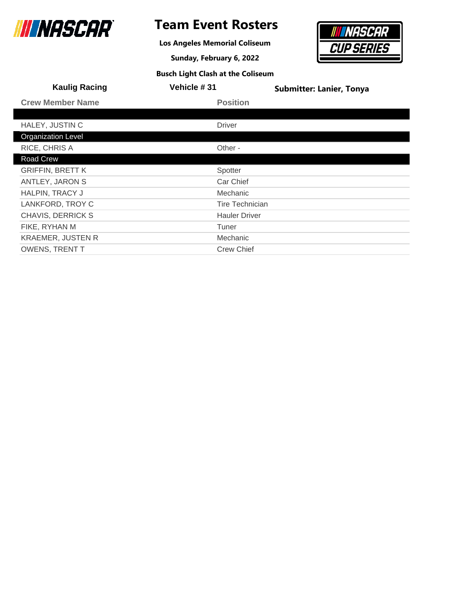

### **Team Event Rosters**

**Los Angeles Memorial Coliseum**

**Sunday, February 6, 2022**

## *NASCAR* **CUP SERIES**

| <b>Busch Light Clash at the Coliseum</b> |  |
|------------------------------------------|--|
|------------------------------------------|--|

| <b>Kaulig Racing</b>      | Vehicle #31          | <b>Submitter: Lanier, Tonya</b> |
|---------------------------|----------------------|---------------------------------|
| <b>Crew Member Name</b>   | <b>Position</b>      |                                 |
|                           |                      |                                 |
| HALEY, JUSTIN C           | <b>Driver</b>        |                                 |
| <b>Organization Level</b> |                      |                                 |
| RICE, CHRIS A             | Other -              |                                 |
| Road Crew                 |                      |                                 |
| <b>GRIFFIN, BRETT K</b>   | Spotter              |                                 |
| <b>ANTLEY, JARON S</b>    | Car Chief            |                                 |
| HALPIN, TRACY J           | <b>Mechanic</b>      |                                 |
| LANKFORD, TROY C          | Tire Technician      |                                 |
| CHAVIS, DERRICK S         | <b>Hauler Driver</b> |                                 |
| FIKE, RYHAN M             | Tuner                |                                 |
| <b>KRAEMER, JUSTEN R</b>  | Mechanic             |                                 |
| <b>OWENS, TRENT T</b>     | <b>Crew Chief</b>    |                                 |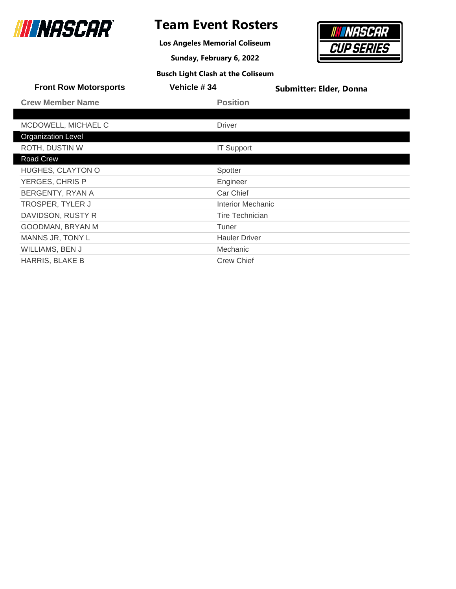

### **Team Event Rosters**

**Los Angeles Memorial Coliseum**

**Sunday, February 6, 2022**



| <b>Busch Light Clash at the Coliseum</b> |  |
|------------------------------------------|--|
|------------------------------------------|--|

| <b>Front Row Motorsports</b> | <b>Vehicle #34</b>       | <b>Submitter: Elder, Donna</b> |
|------------------------------|--------------------------|--------------------------------|
| <b>Crew Member Name</b>      | <b>Position</b>          |                                |
|                              |                          |                                |
| MCDOWELL, MICHAEL C          | <b>Driver</b>            |                                |
| <b>Organization Level</b>    |                          |                                |
| <b>ROTH, DUSTIN W</b>        | <b>IT Support</b>        |                                |
| Road Crew                    |                          |                                |
| HUGHES, CLAYTON O            | Spotter                  |                                |
| YERGES, CHRIS P              | Engineer                 |                                |
| BERGENTY, RYAN A             | Car Chief                |                                |
| <b>TROSPER, TYLER J</b>      | <b>Interior Mechanic</b> |                                |
| DAVIDSON, RUSTY R            | <b>Tire Technician</b>   |                                |
| GOODMAN, BRYAN M             | Tuner                    |                                |
| MANNS JR, TONY L             | <b>Hauler Driver</b>     |                                |
| <b>WILLIAMS, BEN J</b>       | Mechanic                 |                                |
| HARRIS, BLAKE B              | <b>Crew Chief</b>        |                                |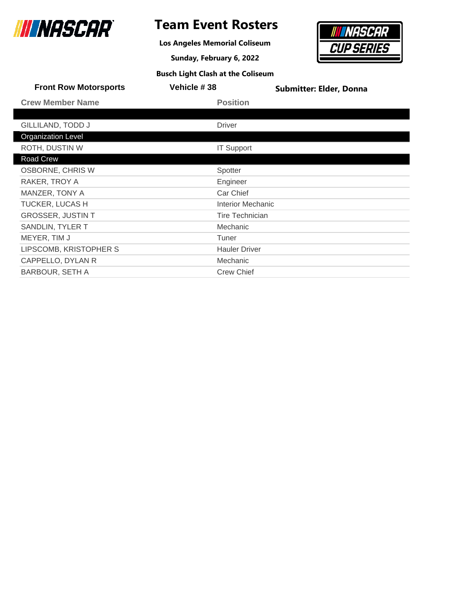

**Los Angeles Memorial Coliseum**

**Sunday, February 6, 2022**



|              | <b>Front Row Motorsports</b> | Vehicle #38 | <b>Submitter: Elder, Donna</b> |
|--------------|------------------------------|-------------|--------------------------------|
|              | <b>Crew Member Name</b>      |             | <b>Position</b>                |
|              |                              |             |                                |
|              | GILLILAND, TODD J            |             | <b>Driver</b>                  |
|              | <b>Organization Level</b>    |             |                                |
|              | <b>ROTH, DUSTIN W</b>        |             | <b>IT Support</b>              |
| Road Crew    |                              |             |                                |
|              | OSBORNE, CHRIS W             |             | Spotter                        |
|              | RAKER, TROY A                |             | Engineer                       |
|              | MANZER, TONY A               |             | Car Chief                      |
|              | <b>TUCKER, LUCAS H</b>       |             | <b>Interior Mechanic</b>       |
|              | <b>GROSSER, JUSTIN T</b>     |             | Tire Technician                |
|              | SANDLIN, TYLER T             |             | Mechanic                       |
| MEYER, TIM J |                              |             | Tuner                          |
|              | LIPSCOMB, KRISTOPHER S       |             | <b>Hauler Driver</b>           |
|              | CAPPELLO, DYLAN R            |             | Mechanic                       |
|              | BARBOUR, SETH A              |             | <b>Crew Chief</b>              |
|              |                              |             |                                |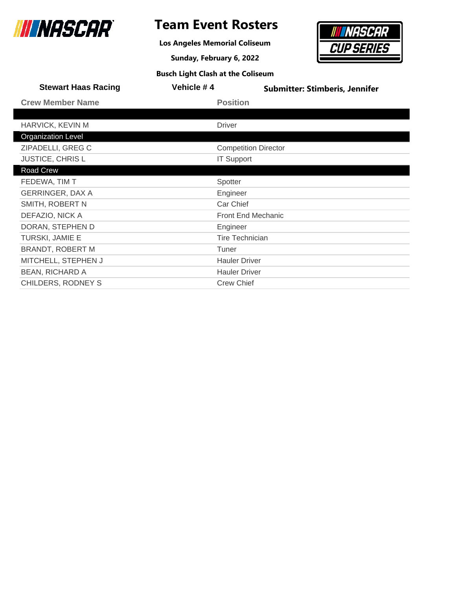

**Los Angeles Memorial Coliseum**

**Sunday, February 6, 2022**



| <b>Stewart Haas Racing</b> | Vehicle #4                  | <b>Submitter: Stimberis, Jennifer</b> |
|----------------------------|-----------------------------|---------------------------------------|
| <b>Crew Member Name</b>    | <b>Position</b>             |                                       |
|                            |                             |                                       |
| HARVICK, KEVIN M           | <b>Driver</b>               |                                       |
| <b>Organization Level</b>  |                             |                                       |
| ZIPADELLI, GREG C          | <b>Competition Director</b> |                                       |
| <b>JUSTICE, CHRISL</b>     | <b>IT Support</b>           |                                       |
| Road Crew                  |                             |                                       |
| FEDEWA, TIM T              | Spotter                     |                                       |
| <b>GERRINGER, DAX A</b>    | Engineer                    |                                       |
| SMITH, ROBERT N            | Car Chief                   |                                       |
| DEFAZIO, NICK A            | <b>Front End Mechanic</b>   |                                       |
| DORAN, STEPHEN D           | Engineer                    |                                       |
| TURSKI, JAMIE E            | <b>Tire Technician</b>      |                                       |
| <b>BRANDT, ROBERT M</b>    | Tuner                       |                                       |
| MITCHELL, STEPHEN J        | <b>Hauler Driver</b>        |                                       |
| <b>BEAN, RICHARD A</b>     | <b>Hauler Driver</b>        |                                       |
| CHILDERS, RODNEY S         | <b>Crew Chief</b>           |                                       |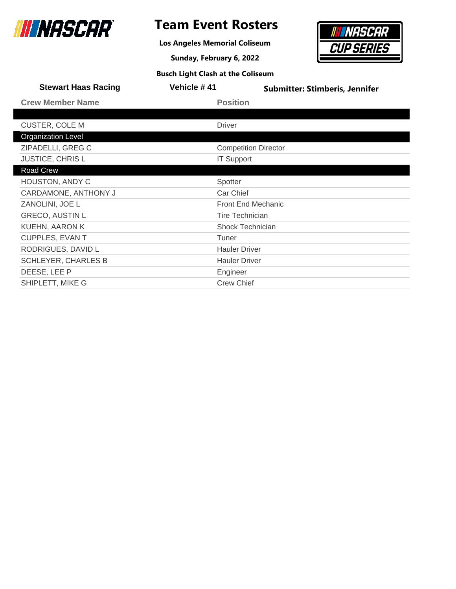

### **Team Event Rosters**

**Los Angeles Memorial Coliseum**

**Sunday, February 6, 2022**



| <b>Stewart Haas Racing</b> | Vehicle #41            | <b>Submitter: Stimberis, Jennifer</b> |
|----------------------------|------------------------|---------------------------------------|
| <b>Crew Member Name</b>    | <b>Position</b>        |                                       |
|                            |                        |                                       |
| <b>CUSTER, COLE M</b>      | <b>Driver</b>          |                                       |
| <b>Organization Level</b>  |                        |                                       |
| ZIPADELLI, GREG C          |                        | <b>Competition Director</b>           |
| <b>JUSTICE, CHRISL</b>     | <b>IT Support</b>      |                                       |
| Road Crew                  |                        |                                       |
| HOUSTON, ANDY C            | Spotter                |                                       |
| CARDAMONE, ANTHONY J       | Car Chief              |                                       |
| ZANOLINI, JOE L            |                        | <b>Front End Mechanic</b>             |
| <b>GRECO, AUSTIN L</b>     | <b>Tire Technician</b> |                                       |
| <b>KUEHN, AARON K</b>      | Shock Technician       |                                       |
| <b>CUPPLES, EVAN T</b>     | Tuner                  |                                       |
| RODRIGUES, DAVID L         | <b>Hauler Driver</b>   |                                       |
| <b>SCHLEYER, CHARLES B</b> | <b>Hauler Driver</b>   |                                       |
| DEESE, LEE P               | Engineer               |                                       |
| SHIPLETT, MIKE G           | <b>Crew Chief</b>      |                                       |
|                            |                        |                                       |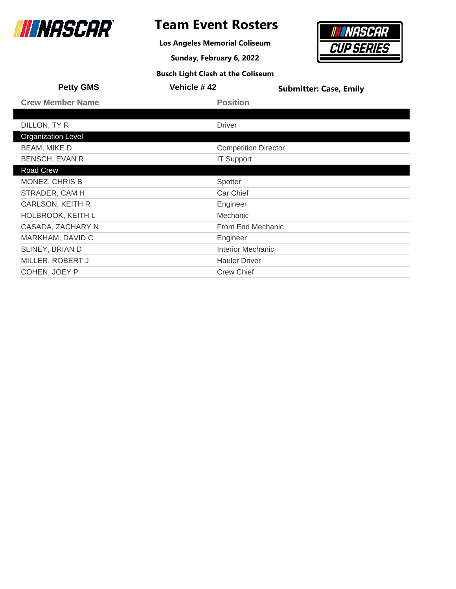

### **Team Event Rosters**

**Los Angeles Memorial Coliseum**

**Sunday, February 6, 2022**



| <b>Petty GMS</b>          | Vehicle #42                 | <b>Submitter: Case, Emily</b> |
|---------------------------|-----------------------------|-------------------------------|
| <b>Crew Member Name</b>   | <b>Position</b>             |                               |
|                           |                             |                               |
| DILLON, TY R              | <b>Driver</b>               |                               |
| <b>Organization Level</b> |                             |                               |
| <b>BEAM, MIKE D</b>       | <b>Competition Director</b> |                               |
| <b>BENSCH, EVAN R</b>     | <b>IT Support</b>           |                               |
| Road Crew                 |                             |                               |
| MONEZ, CHRIS B            | Spotter                     |                               |
| STRADER, CAM H            | Car Chief                   |                               |
| CARLSON, KEITH R          | Engineer                    |                               |
| HOLBROOK, KEITH L         | Mechanic                    |                               |
| CASADA, ZACHARY N         | <b>Front End Mechanic</b>   |                               |
| MARKHAM, DAVID C          | Engineer                    |                               |
| SLINEY, BRIAN D           | <b>Interior Mechanic</b>    |                               |
| MILLER, ROBERT J          | <b>Hauler Driver</b>        |                               |
| COHEN, JOEY P             | <b>Crew Chief</b>           |                               |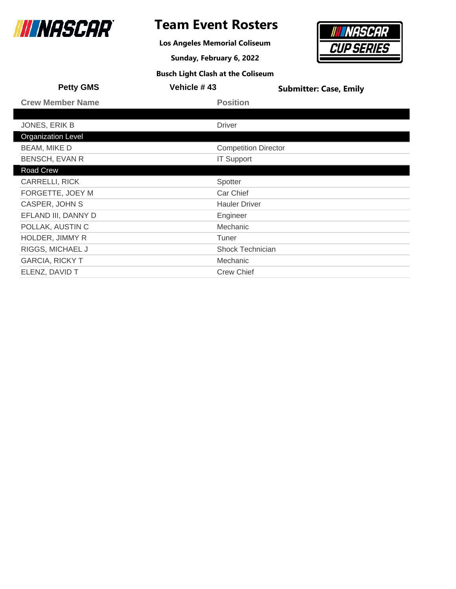

**Los Angeles Memorial Coliseum**

**Sunday, February 6, 2022**



| <b>Petty GMS</b>          | Vehicle #43                 | <b>Submitter: Case, Emily</b> |
|---------------------------|-----------------------------|-------------------------------|
| <b>Crew Member Name</b>   | <b>Position</b>             |                               |
|                           |                             |                               |
| JONES, ERIK B             | <b>Driver</b>               |                               |
| <b>Organization Level</b> |                             |                               |
| <b>BEAM, MIKE D</b>       | <b>Competition Director</b> |                               |
| <b>BENSCH, EVAN R</b>     | <b>IT Support</b>           |                               |
| Road Crew                 |                             |                               |
| <b>CARRELLI, RICK</b>     | Spotter                     |                               |
| FORGETTE, JOEY M          | Car Chief                   |                               |
| CASPER, JOHN S            | <b>Hauler Driver</b>        |                               |
| EFLAND III, DANNY D       | Engineer                    |                               |
| POLLAK, AUSTIN C          | Mechanic                    |                               |
| HOLDER, JIMMY R           | Tuner                       |                               |
| RIGGS, MICHAEL J          | Shock Technician            |                               |
| <b>GARCIA, RICKY T</b>    | Mechanic                    |                               |
| ELENZ, DAVID T            | <b>Crew Chief</b>           |                               |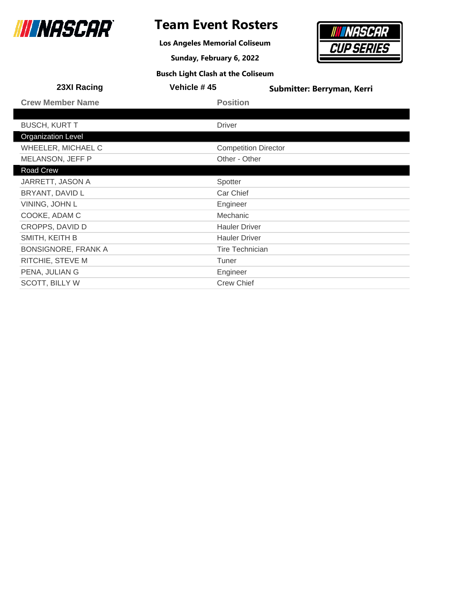

**Los Angeles Memorial Coliseum**

**Sunday, February 6, 2022**



| 23XI Racing                | Vehicle #45                 | Submitter: Berryman, Kerri |
|----------------------------|-----------------------------|----------------------------|
| <b>Crew Member Name</b>    | <b>Position</b>             |                            |
|                            |                             |                            |
| <b>BUSCH, KURT T</b>       | <b>Driver</b>               |                            |
| <b>Organization Level</b>  |                             |                            |
| WHEELER, MICHAEL C         | <b>Competition Director</b> |                            |
| MELANSON, JEFF P           | Other - Other               |                            |
| Road Crew                  |                             |                            |
| JARRETT, JASON A           | Spotter                     |                            |
| BRYANT, DAVID L            | Car Chief                   |                            |
| VINING, JOHN L             | Engineer                    |                            |
| COOKE, ADAM C              | Mechanic                    |                            |
| CROPPS, DAVID D            | <b>Hauler Driver</b>        |                            |
| SMITH, KEITH B             | <b>Hauler Driver</b>        |                            |
| <b>BONSIGNORE, FRANK A</b> | <b>Tire Technician</b>      |                            |
| RITCHIE, STEVE M           | Tuner                       |                            |
| PENA, JULIAN G             | Engineer                    |                            |
| <b>SCOTT, BILLY W</b>      | <b>Crew Chief</b>           |                            |
|                            |                             |                            |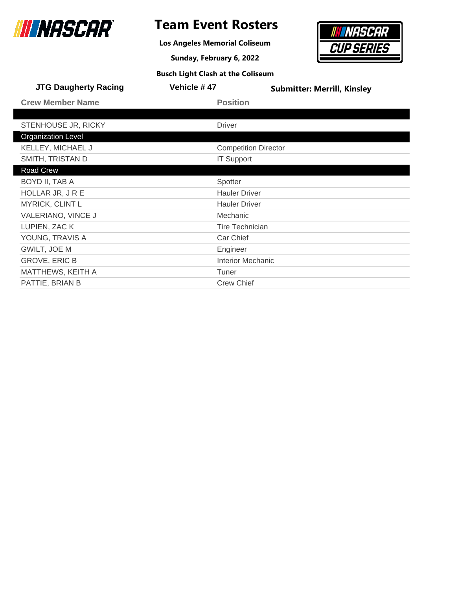

**Los Angeles Memorial Coliseum**

**Sunday, February 6, 2022**



| <b>JTG Daugherty Racing</b> | Vehicle #47            | <b>Submitter: Merrill, Kinsley</b> |
|-----------------------------|------------------------|------------------------------------|
| <b>Crew Member Name</b>     | <b>Position</b>        |                                    |
|                             |                        |                                    |
| STENHOUSE JR, RICKY         | <b>Driver</b>          |                                    |
| <b>Organization Level</b>   |                        |                                    |
| KELLEY, MICHAEL J           |                        | <b>Competition Director</b>        |
| SMITH, TRISTAN D            | <b>IT Support</b>      |                                    |
| Road Crew                   |                        |                                    |
| BOYD II, TAB A              | Spotter                |                                    |
| HOLLAR JR, JRE              | <b>Hauler Driver</b>   |                                    |
| MYRICK, CLINT L             | <b>Hauler Driver</b>   |                                    |
| VALERIANO, VINCE J          | Mechanic               |                                    |
| LUPIEN, ZAC K               | <b>Tire Technician</b> |                                    |
| YOUNG, TRAVIS A             | Car Chief              |                                    |
| GWILT, JOE M                | Engineer               |                                    |
| <b>GROVE, ERIC B</b>        |                        | <b>Interior Mechanic</b>           |
| MATTHEWS, KEITH A           | Tuner                  |                                    |
| PATTIE, BRIAN B             | <b>Crew Chief</b>      |                                    |
|                             |                        |                                    |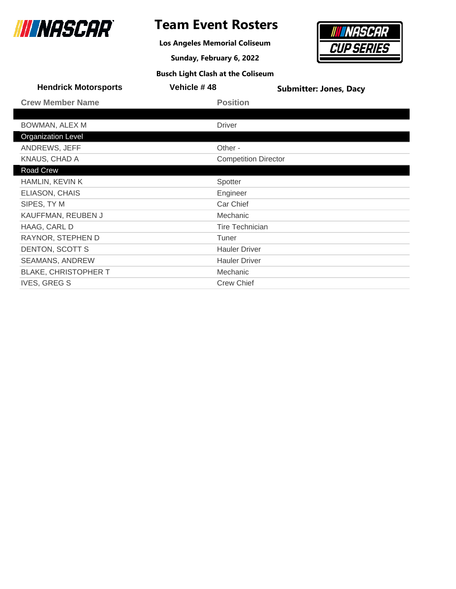

**Los Angeles Memorial Coliseum**

**Sunday, February 6, 2022**



| <b>Busch Light Clash at the Coliseum</b> |  |  |
|------------------------------------------|--|--|
|------------------------------------------|--|--|

| <b>Hendrick Motorsports</b> | Vehicle #48                 | <b>Submitter: Jones, Dacy</b> |
|-----------------------------|-----------------------------|-------------------------------|
| <b>Crew Member Name</b>     | <b>Position</b>             |                               |
|                             |                             |                               |
| BOWMAN, ALEX M              | <b>Driver</b>               |                               |
| <b>Organization Level</b>   |                             |                               |
| ANDREWS, JEFF               | Other -                     |                               |
| KNAUS, CHAD A               | <b>Competition Director</b> |                               |
| Road Crew                   |                             |                               |
| HAMLIN, KEVIN K             | Spotter                     |                               |
| <b>ELIASON, CHAIS</b>       | Engineer                    |                               |
| SIPES, TY M                 | Car Chief                   |                               |
| KAUFFMAN, REUBEN J          | Mechanic                    |                               |
| HAAG, CARL D                | <b>Tire Technician</b>      |                               |
| RAYNOR, STEPHEN D           | Tuner                       |                               |
| DENTON, SCOTT S             | <b>Hauler Driver</b>        |                               |
| <b>SEAMANS, ANDREW</b>      | <b>Hauler Driver</b>        |                               |
| <b>BLAKE, CHRISTOPHER T</b> | Mechanic                    |                               |
| <b>IVES, GREG S</b>         | <b>Crew Chief</b>           |                               |
|                             |                             |                               |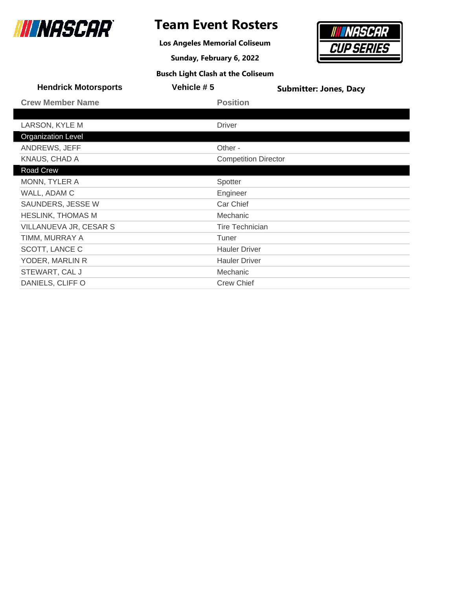

**Los Angeles Memorial Coliseum**

**Sunday, February 6, 2022**



| <b>Busch Light Clash at the Coliseum</b> |  |
|------------------------------------------|--|
|------------------------------------------|--|

| <b>Hendrick Motorsports</b> | Vehicle #5 | <b>Submitter: Jones, Dacy</b> |
|-----------------------------|------------|-------------------------------|
| <b>Crew Member Name</b>     |            | <b>Position</b>               |
|                             |            |                               |
| LARSON, KYLE M              |            | <b>Driver</b>                 |
| <b>Organization Level</b>   |            |                               |
| ANDREWS, JEFF               |            | Other -                       |
| KNAUS, CHAD A               |            | <b>Competition Director</b>   |
| Road Crew                   |            |                               |
| MONN, TYLER A               |            | Spotter                       |
| WALL, ADAM C                |            | Engineer                      |
| SAUNDERS, JESSE W           |            | Car Chief                     |
| <b>HESLINK, THOMAS M</b>    |            | Mechanic                      |
| VILLANUEVA JR, CESAR S      |            | <b>Tire Technician</b>        |
| TIMM, MURRAY A              |            | Tuner                         |
| SCOTT, LANCE C              |            | <b>Hauler Driver</b>          |
| YODER, MARLIN R             |            | <b>Hauler Driver</b>          |
| STEWART, CAL J              |            | Mechanic                      |
| DANIELS, CLIFF O            |            | <b>Crew Chief</b>             |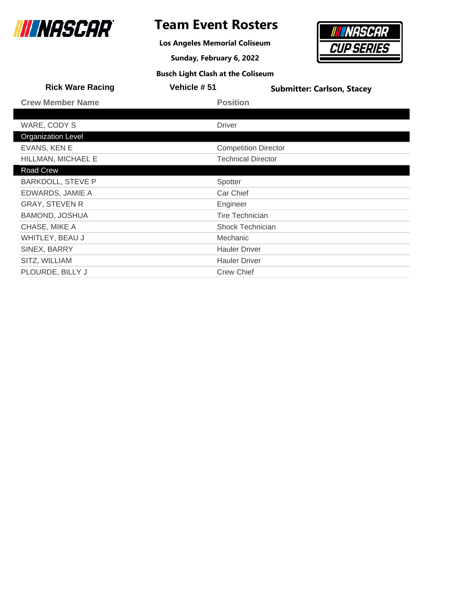

**Los Angeles Memorial Coliseum**

**Sunday, February 6, 2022**



| <b>Rick Ware Racing</b>   | Vehicle #51                 | <b>Submitter: Carlson, Stacey</b> |
|---------------------------|-----------------------------|-----------------------------------|
| <b>Crew Member Name</b>   | <b>Position</b>             |                                   |
|                           |                             |                                   |
| WARE, CODY S              | <b>Driver</b>               |                                   |
| <b>Organization Level</b> |                             |                                   |
| EVANS, KEN E              | <b>Competition Director</b> |                                   |
| HILLMAN, MICHAEL E        | <b>Technical Director</b>   |                                   |
| Road Crew                 |                             |                                   |
| <b>BARKDOLL, STEVE P</b>  | Spotter                     |                                   |
| EDWARDS, JAMIE A          | Car Chief                   |                                   |
| <b>GRAY, STEVEN R</b>     | Engineer                    |                                   |
| <b>BAMOND, JOSHUA</b>     | <b>Tire Technician</b>      |                                   |
| CHASE, MIKE A             | <b>Shock Technician</b>     |                                   |
| WHITLEY, BEAU J           | Mechanic                    |                                   |
| SINEX, BARRY              | <b>Hauler Driver</b>        |                                   |
| SITZ, WILLIAM             | <b>Hauler Driver</b>        |                                   |
| PLOURDE, BILLY J          | <b>Crew Chief</b>           |                                   |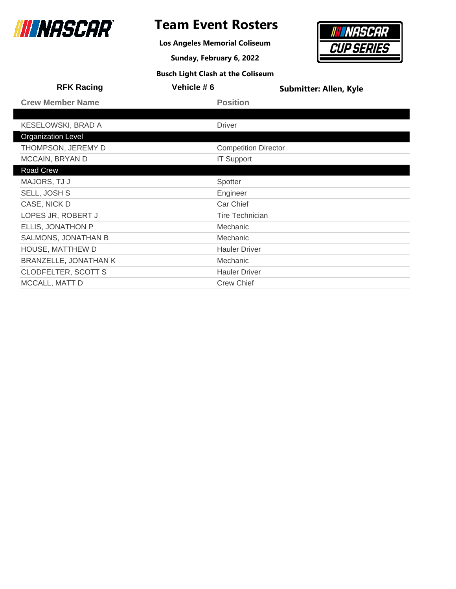

### **Team Event Rosters**

**Los Angeles Memorial Coliseum**

**Sunday, February 6, 2022**



| <b>RFK Racing</b>          | Vehicle #6                  | <b>Submitter: Allen, Kyle</b> |
|----------------------------|-----------------------------|-------------------------------|
| <b>Crew Member Name</b>    | <b>Position</b>             |                               |
|                            |                             |                               |
| <b>KESELOWSKI, BRAD A</b>  | <b>Driver</b>               |                               |
| <b>Organization Level</b>  |                             |                               |
| THOMPSON, JEREMY D         | <b>Competition Director</b> |                               |
| MCCAIN, BRYAN D            | <b>IT Support</b>           |                               |
| <b>Road Crew</b>           |                             |                               |
| MAJORS, TJ J               | Spotter                     |                               |
| SELL, JOSH S               | Engineer                    |                               |
| CASE, NICK D               | Car Chief                   |                               |
| LOPES JR, ROBERT J         | <b>Tire Technician</b>      |                               |
| ELLIS, JONATHON P          | <b>Mechanic</b>             |                               |
| SALMONS, JONATHAN B        | Mechanic                    |                               |
| HOUSE, MATTHEW D           | <b>Hauler Driver</b>        |                               |
| BRANZELLE, JONATHAN K      | Mechanic                    |                               |
| <b>CLODFELTER, SCOTT S</b> | <b>Hauler Driver</b>        |                               |
| MCCALL, MATT D             | <b>Crew Chief</b>           |                               |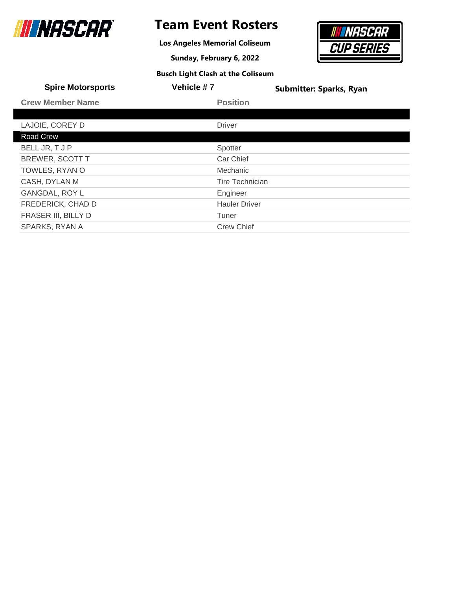

**Los Angeles Memorial Coliseum**

**Sunday, February 6, 2022**



| <b>Spire Motorsports</b> | Vehicle #7             | <b>Submitter: Sparks, Ryan</b> |
|--------------------------|------------------------|--------------------------------|
| <b>Crew Member Name</b>  | <b>Position</b>        |                                |
|                          |                        |                                |
| LAJOIE, COREY D          | <b>Driver</b>          |                                |
| Road Crew                |                        |                                |
| BELL JR, T J P           | Spotter                |                                |
| <b>BREWER, SCOTT T</b>   | Car Chief              |                                |
| TOWLES, RYAN O           | <b>Mechanic</b>        |                                |
| CASH, DYLAN M            | <b>Tire Technician</b> |                                |
| <b>GANGDAL, ROY L</b>    | Engineer               |                                |
| FREDERICK, CHAD D        | <b>Hauler Driver</b>   |                                |
| FRASER III, BILLY D      | Tuner                  |                                |
| SPARKS, RYAN A           | <b>Crew Chief</b>      |                                |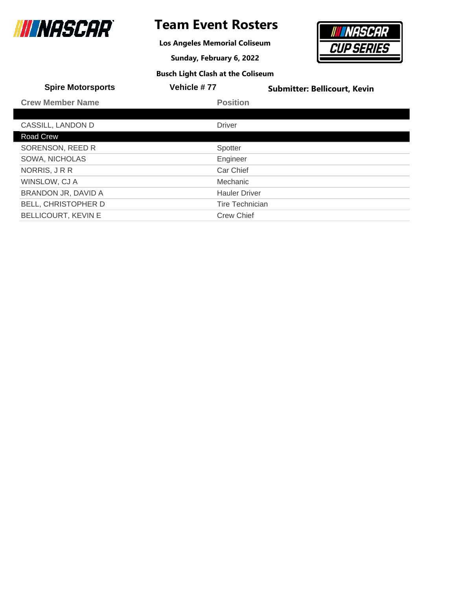

**Los Angeles Memorial Coliseum**

**Sunday, February 6, 2022**

## *NASCAR* **CUP SERIES**

| <b>Busch Light Clash at the Coliseum</b> |  |
|------------------------------------------|--|
|------------------------------------------|--|

| <b>Spire Motorsports</b>   | Vehicle #77            | <b>Submitter: Bellicourt, Kevin</b> |
|----------------------------|------------------------|-------------------------------------|
| <b>Crew Member Name</b>    | <b>Position</b>        |                                     |
|                            |                        |                                     |
| CASSILL, LANDON D          | <b>Driver</b>          |                                     |
| Road Crew                  |                        |                                     |
| SORENSON, REED R           | Spotter                |                                     |
| <b>SOWA, NICHOLAS</b>      | Engineer               |                                     |
| NORRIS, JRR                | Car Chief              |                                     |
| WINSLOW, CJ A              | Mechanic               |                                     |
| BRANDON JR, DAVID A        | <b>Hauler Driver</b>   |                                     |
| <b>BELL, CHRISTOPHER D</b> | <b>Tire Technician</b> |                                     |
| <b>BELLICOURT, KEVIN E</b> | <b>Crew Chief</b>      |                                     |
|                            |                        |                                     |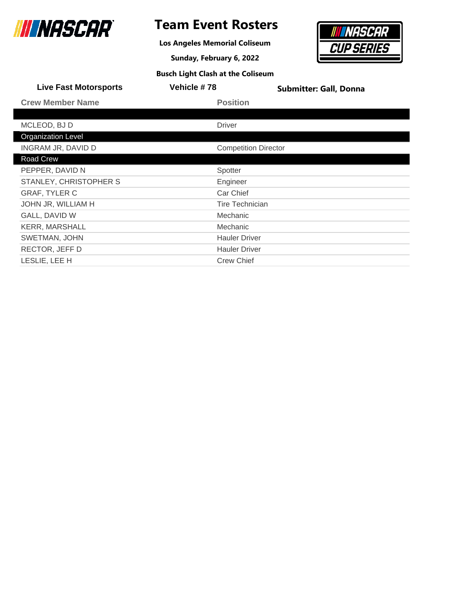

### **Team Event Rosters**

**Los Angeles Memorial Coliseum**

**Sunday, February 6, 2022 Busch Light Clash at the Coliseum**

## *NASCAR* **CUP SERIES**

| <b>Live Fast Motorsports</b> | Vehicle #78                 | <b>Submitter: Gall, Donna</b> |
|------------------------------|-----------------------------|-------------------------------|
| <b>Crew Member Name</b>      | <b>Position</b>             |                               |
|                              |                             |                               |
| MCLEOD, BJ D                 | <b>Driver</b>               |                               |
| <b>Organization Level</b>    |                             |                               |
| INGRAM JR, DAVID D           | <b>Competition Director</b> |                               |
| Road Crew                    |                             |                               |
| PEPPER, DAVID N              | Spotter                     |                               |
| STANLEY, CHRISTOPHER S       | Engineer                    |                               |
| <b>GRAF, TYLER C</b>         | Car Chief                   |                               |
| JOHN JR, WILLIAM H           | <b>Tire Technician</b>      |                               |
| GALL, DAVID W                | Mechanic                    |                               |
| <b>KERR, MARSHALL</b>        | Mechanic                    |                               |
| SWETMAN, JOHN                | <b>Hauler Driver</b>        |                               |
| RECTOR, JEFF D               | <b>Hauler Driver</b>        |                               |
| LESLIE, LEE H                | <b>Crew Chief</b>           |                               |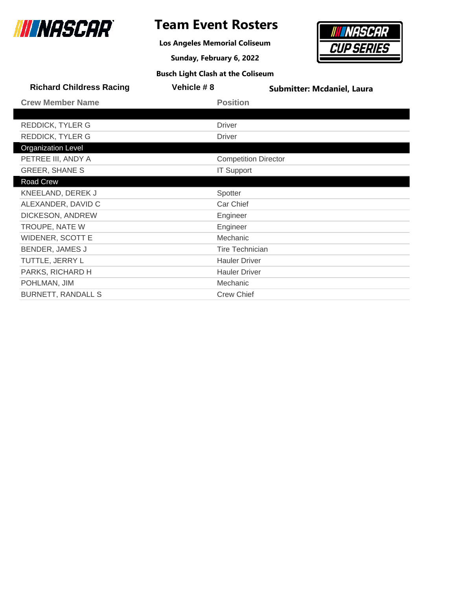

**Los Angeles Memorial Coliseum**

**Sunday, February 6, 2022**



| <b>Richard Childress Racing</b> | Vehicle #8 | <b>Submitter: Mcdaniel, Laura</b> |
|---------------------------------|------------|-----------------------------------|
| <b>Crew Member Name</b>         |            | <b>Position</b>                   |
|                                 |            |                                   |
| REDDICK, TYLER G                |            | <b>Driver</b>                     |
| <b>REDDICK, TYLER G</b>         |            | <b>Driver</b>                     |
| <b>Organization Level</b>       |            |                                   |
| PETREE III, ANDY A              |            | <b>Competition Director</b>       |
| <b>GREER, SHANE S</b>           |            | <b>IT Support</b>                 |
| Road Crew                       |            |                                   |
| KNEELAND, DEREK J               |            | Spotter                           |
| ALEXANDER, DAVID C              |            | Car Chief                         |
| DICKESON, ANDREW                |            | Engineer                          |
| TROUPE, NATE W                  |            | Engineer                          |
| <b>WIDENER, SCOTT E</b>         |            | Mechanic                          |
| BENDER, JAMES J                 |            | <b>Tire Technician</b>            |
| TUTTLE, JERRY L                 |            | <b>Hauler Driver</b>              |
| PARKS, RICHARD H                |            | <b>Hauler Driver</b>              |
| POHLMAN, JIM                    |            | Mechanic                          |
| <b>BURNETT, RANDALL S</b>       |            | <b>Crew Chief</b>                 |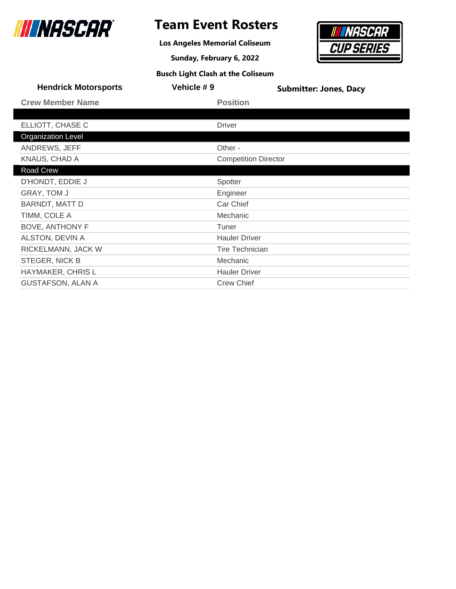

**Los Angeles Memorial Coliseum**

**Sunday, February 6, 2022**



|  |  |  |  | <b>Busch Light Clash at the Coliseum</b> |
|--|--|--|--|------------------------------------------|
|--|--|--|--|------------------------------------------|

| <b>Hendrick Motorsports</b> | Vehicle #9    | <b>Submitter: Jones, Dacy</b> |  |
|-----------------------------|---------------|-------------------------------|--|
| <b>Crew Member Name</b>     |               | <b>Position</b>               |  |
|                             |               |                               |  |
| ELLIOTT, CHASE C            | <b>Driver</b> |                               |  |
| <b>Organization Level</b>   |               |                               |  |
| ANDREWS, JEFF               |               | Other -                       |  |
| KNAUS, CHAD A               |               | <b>Competition Director</b>   |  |
| Road Crew                   |               |                               |  |
| D'HONDT, EDDIE J            |               | Spotter                       |  |
| GRAY, TOM J                 |               | Engineer                      |  |
| <b>BARNDT, MATT D</b>       |               | Car Chief                     |  |
| TIMM, COLE A                |               | Mechanic                      |  |
| <b>BOVE, ANTHONY F</b>      | Tuner         |                               |  |
| ALSTON, DEVIN A             |               | <b>Hauler Driver</b>          |  |
| RICKELMANN, JACK W          |               | <b>Tire Technician</b>        |  |
| STEGER, NICK B              |               | Mechanic                      |  |
| HAYMAKER, CHRIS L           |               | <b>Hauler Driver</b>          |  |
| <b>GUSTAFSON, ALAN A</b>    |               | <b>Crew Chief</b>             |  |
|                             |               |                               |  |